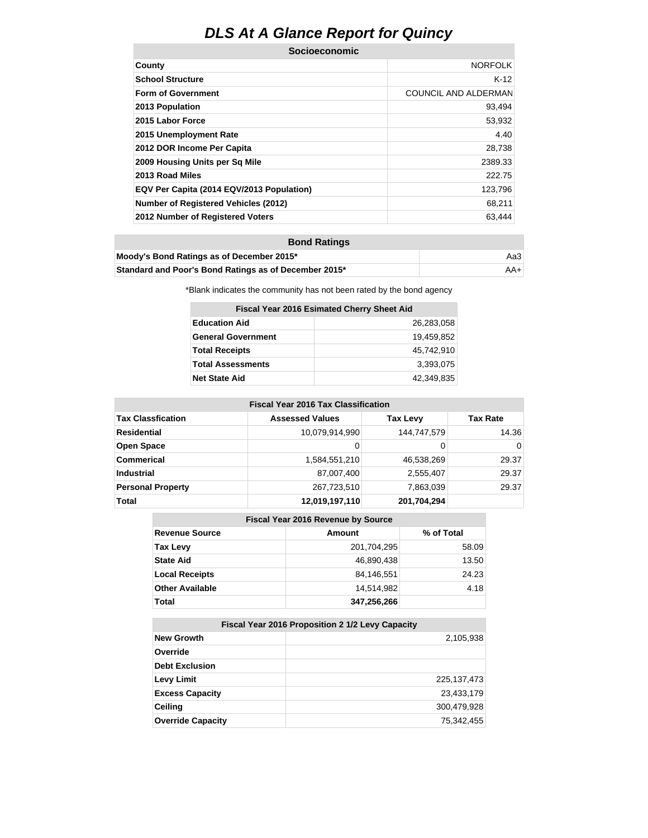## **DLS At A Glance Report for Quincy**

| <b>Socioeconomic</b>                      |                             |  |  |  |
|-------------------------------------------|-----------------------------|--|--|--|
| County                                    | <b>NORFOLK</b>              |  |  |  |
| <b>School Structure</b>                   | $K-12$                      |  |  |  |
| <b>Form of Government</b>                 | <b>COUNCIL AND ALDERMAN</b> |  |  |  |
| 2013 Population                           | 93,494                      |  |  |  |
| 2015 Labor Force                          | 53,932                      |  |  |  |
| 2015 Unemployment Rate                    | 4.40                        |  |  |  |
| 2012 DOR Income Per Capita                | 28,738                      |  |  |  |
| 2009 Housing Units per Sq Mile            | 2389.33                     |  |  |  |
| 2013 Road Miles                           | 222.75                      |  |  |  |
| EQV Per Capita (2014 EQV/2013 Population) | 123,796                     |  |  |  |
| Number of Registered Vehicles (2012)      | 68,211                      |  |  |  |
| 2012 Number of Registered Voters          | 63,444                      |  |  |  |

| <b>Bond Ratings</b>                                   |     |  |
|-------------------------------------------------------|-----|--|
| Moody's Bond Ratings as of December 2015*             | АаЗ |  |
| Standard and Poor's Bond Ratings as of December 2015* | AA+ |  |

\*Blank indicates the community has not been rated by the bond agency

| Fiscal Year 2016 Esimated Cherry Sheet Aid |            |  |  |  |  |
|--------------------------------------------|------------|--|--|--|--|
| <b>Education Aid</b><br>26.283.058         |            |  |  |  |  |
| <b>General Government</b>                  | 19.459.852 |  |  |  |  |
| <b>Total Receipts</b>                      | 45.742.910 |  |  |  |  |
| <b>Total Assessments</b>                   | 3,393,075  |  |  |  |  |
| <b>Net State Aid</b>                       | 42.349.835 |  |  |  |  |

| <b>Fiscal Year 2016 Tax Classification</b> |                        |                 |                 |  |  |
|--------------------------------------------|------------------------|-----------------|-----------------|--|--|
| <b>Tax Classfication</b>                   | <b>Assessed Values</b> | <b>Tax Levy</b> | <b>Tax Rate</b> |  |  |
| Residential                                | 10,079,914,990         | 144,747,579     | 14.36           |  |  |
| <b>Open Space</b>                          | 0                      | 0               | 0               |  |  |
| <b>Commerical</b>                          | 1,584,551,210          | 46,538,269      | 29.37           |  |  |
| <b>Industrial</b>                          | 87,007,400             | 2,555,407       | 29.37           |  |  |
| <b>Personal Property</b>                   | 267,723,510            | 7,863,039       | 29.37           |  |  |
| <b>Total</b>                               | 12,019,197,110         | 201,704,294     |                 |  |  |

## **Fiscal Year 2016 Revenue by Source**

| <b>Revenue Source</b>  | Amount      | % of Total |
|------------------------|-------------|------------|
| <b>Tax Levy</b>        | 201,704,295 | 58.09      |
| <b>State Aid</b>       | 46,890,438  | 13.50      |
| <b>Local Receipts</b>  | 84,146,551  | 24.23      |
| <b>Other Available</b> | 14.514.982  | 4.18       |
| Total                  | 347,256,266 |            |

| Fiscal Year 2016 Proposition 2 1/2 Levy Capacity |               |  |  |
|--------------------------------------------------|---------------|--|--|
| <b>New Growth</b>                                | 2,105,938     |  |  |
| Override                                         |               |  |  |
| <b>Debt Exclusion</b>                            |               |  |  |
| <b>Levy Limit</b>                                | 225, 137, 473 |  |  |
| <b>Excess Capacity</b>                           | 23,433,179    |  |  |
| <b>Ceiling</b>                                   | 300,479,928   |  |  |
| <b>Override Capacity</b>                         | 75,342,455    |  |  |